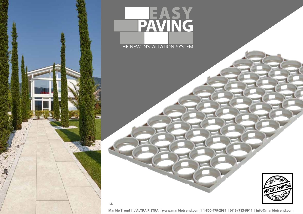## PAVING THE NEW INSTALLATION SYSTEM



**Marble Trend | L'ALTRA PIETRA | www.marbletrend.com | 1-800-479-2931 | (416) 783-9911 | info@marbletrend.com**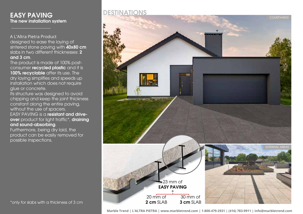## EASY PAVING The new installation system

designed to ease the laying of sintered stone paving with 40x80 cm slabs in two different thicknesses: 2 and 3 cm. A L'Altra Pietra Product

The product is made of 100% postconsumer recycled plastic and it is 100% recyclable after its use. The dry laying simplifies and speeds up installation which does not require glue or concrete.

Its structure was designed to avoid chipping and keep the joint thickness constant along the entire paving, without the use of spacers. EASY PAVING is a resistant and driveover product for light traffic\*, draining and sound-absorbing.

Furthermore, being dry laid, the product can be easily removed for possible inspections.

## DESTINATIONS

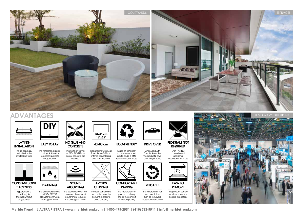

## ADVANTAGES





The tile can easily be laid inside the interlocking tabs



**THICKNESS** It guarantees a constant joint thickness without

using spacers



and quick. Ideal for temporary projects and/or for DIY

DRAINING The particular structure of EASY PAVING allows for continuous drainage of water

NO GLUE AND **CONCRETE** 

Thanks to dry laying of EASY PAVING no glue or concrete are needed



SOUND ABSORBING

The space between the base and the external environment reduces the passage of noises



ECO-FRIENDLY

Designed for Granulati Zandobbio 40x80 cm sintered stone tiles in 2 and 3 cm thickness Made of 100% postconsumer recycled plastic and it is 100% recyclable after its use



**COMFORTABLE** PAVING

The tabs can also be used as tile protective The material of the product positively affects the comfort of the laid paving



DRIVE OVER

When used with 3cm thickness tiles the product is drive over for light traffic



REUSABLE

The installation is not permanent. It can then be removed, reused and relocated



REQUIRED EASY PAVING

doesn't need additional accessories for its use



EASY TO **REMOVE** 

The product can be easily removed for possible inspections



**Marble Trend | L'ALTRA PIETRA | www.marbletrend.com | 1-800-479-2931 | (416) 783-9911 | info@marbletrend.com**

AVOIDS **CHIPPING** 

elements in order to avoid chipping